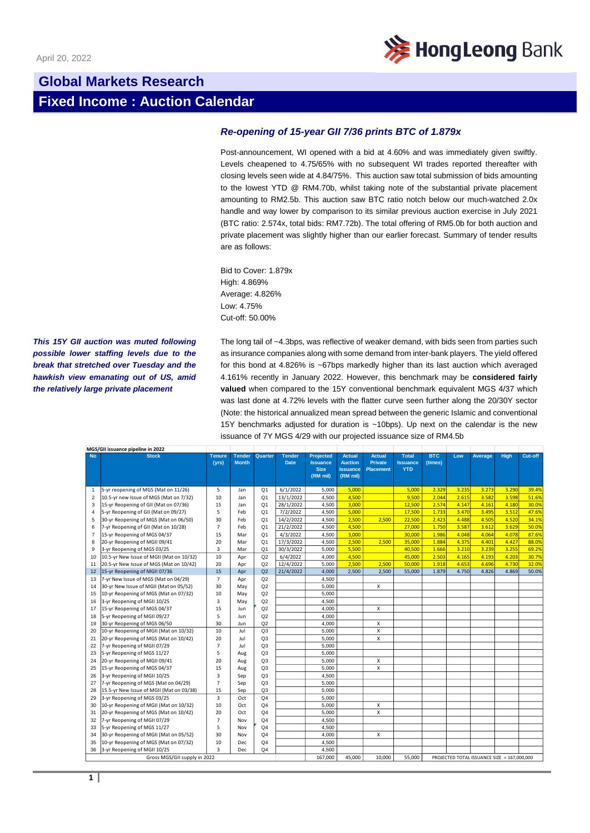

## **Global Markets Research Fixed Income : Auction Calendar**

## *Re-opening of 15-year GII 7/36 prints BTC of 1.879x*

Post-announcement, WI opened with a bid at 4.60% and was immediately given swiftly. Levels cheapened to 4.75/65% with no subsequent WI trades reported thereafter with closing levels seen wide at 4.84/75%. This auction saw total submission of bids amounting to the lowest YTD @ RM4.70b, whilst taking note of the substantial private placement amounting to RM2.5b. This auction saw BTC ratio notch below our much-watched 2.0x handle and way lower by comparison to its similar previous auction exercise in July 2021 (BTC ratio: 2.574x, total bids: RM7.72b). The total offering of RM5.0b for both auction and private placement was slightly higher than our earlier forecast. Summary of tender results are as follows:

Bid to Cover: 1.879x High: 4.869% Average: 4.826% Low: 4.75% Cut-off: 50.00%

*This 15Y GII auction was muted following possible lower staffing levels due to the break that stretched over Tuesday and the hawkish view emanating out of US, amid the relatively large private placement* 

The long tail of ~4.3bps, was reflective of weaker demand, with bids seen from parties such as insurance companies along with some demand from inter-bank players. The yield offered for this bond at 4.826% is ~67bps markedly higher than its last auction which averaged 4.161% recently in January 2022. However, this benchmark may be **considered fairly valued** when compared to the 15Y conventional benchmark equivalent MGS 4/37 which was last done at 4.72% levels with the flatter curve seen further along the 20/30Y sector (Note: the historical annualized mean spread between the generic Islamic and conventional 15Y benchmarks adjusted for duration is ~10bps). Up next on the calendar is the new issuance of 7Y MGS 4/29 with our projected issuance size of RM4.5b

|                              | MGS/GII issuance pipeline in 2022        |                         |                               |                |                              |                                                                |                                                                |                                                     |                                               |                       |       |                                             |       |         |
|------------------------------|------------------------------------------|-------------------------|-------------------------------|----------------|------------------------------|----------------------------------------------------------------|----------------------------------------------------------------|-----------------------------------------------------|-----------------------------------------------|-----------------------|-------|---------------------------------------------|-------|---------|
| <b>No</b>                    | <b>Stock</b>                             | <b>Tenure</b><br>(yrs)  | <b>Tender</b><br><b>Month</b> | Quarter        | <b>Tender</b><br><b>Date</b> | <b>Projected</b><br><b>Issuance</b><br><b>Size</b><br>(RM mil) | <b>Actual</b><br><b>Auction</b><br><b>Issuance</b><br>(RM mil) | <b>Actual</b><br><b>Private</b><br><b>Placement</b> | <b>Total</b><br><b>Issuance</b><br><b>YTD</b> | <b>BTC</b><br>(times) | Low   | <b>Average</b>                              | High  | Cut-off |
| $\mathbf{1}$                 | 5-yr reopening of MGS (Mat on 11/26)     | 5                       | Jan                           | Q <sub>1</sub> | 6/1/2022                     | 5,000                                                          | 5.000                                                          |                                                     | 5.000                                         | 2.329                 | 3.235 | 3.273                                       | 3.290 | 39.4%   |
| $\overline{2}$               | 10.5-yr new Issue of MGS (Mat on 7/32)   | 10                      | Jan                           | Q <sub>1</sub> | 13/1/2022                    | 4.500                                                          | 4.500                                                          |                                                     | 9.500                                         | 2.044                 | 2.615 | 3.582                                       | 3.598 | 51.6%   |
| 3                            | 15-yr Reopening of GII (Mat on 07/36)    | 15                      | Jan                           | Q <sub>1</sub> | 28/1/2022                    | 4,500                                                          | 3,000                                                          |                                                     | 12,500                                        | 2.574                 | 4.147 | 4.161                                       | 4.180 | 30.0%   |
| $\overline{4}$               | 5-yr Reopening of GII (Mat on 09/27)     | 5                       | Feb                           | Q <sub>1</sub> | 7/2/2022                     | 4.500                                                          | 5.000                                                          |                                                     | 17,500                                        | 1.733                 | 3.470 | 3.495                                       | 3.512 | 47.6%   |
| 5                            | 30-yr Reopening of MGS (Mat on 06/50)    | 30                      | Feb                           | Q <sub>1</sub> | 14/2/2022                    | 4,500                                                          | 2,500                                                          | 2,500                                               | 22,500                                        | 2.423                 | 4.488 | 4.505                                       | 4.520 | 34.1%   |
| 6                            | 7-yr Reopening of GII (Mat on 10/28)     | $\overline{7}$          | Feb                           | Q <sub>1</sub> | 21/2/2022                    | 4,500                                                          | 4,500                                                          |                                                     | 27,000                                        | 1.750                 | 3.587 | 3.612                                       | 3.629 | 50.0%   |
| $\overline{7}$               | 15-yr Reopening of MGS 04/37             | 15                      | Mar                           | Q <sub>1</sub> | 4/3/2022                     | 4,500                                                          | 3,000                                                          |                                                     | 30,000                                        | 1.986                 | 4.048 | 4.064                                       | 4.078 | 87.6%   |
| 8                            | 20-yr Reopening of MGII 09/41            | 20                      | Mar                           | Q <sub>1</sub> | 17/3/2022                    | 4,500                                                          | 2,500                                                          | 2,500                                               | 35,000                                        | 1.884                 | 4.375 | 4.401                                       | 4.427 | 88.0%   |
| 9                            | 3-yr Reopening of MGS 03/25              | 3                       | Mar                           | Q <sub>1</sub> | 30/3/2022                    | 5,000                                                          | 5,500                                                          |                                                     | 40,500                                        | 1.666                 | 3.210 | 3.239                                       | 3.255 | 69.2%   |
| 10                           | 10.5-yr New Issue of MGII (Mat on 10/32) | 10                      | Apr                           | Q2             | 6/4/2022                     | 4,000                                                          | 4,500                                                          |                                                     | 45,000                                        | 2.503                 | 4.165 | 4.193                                       | 4.203 | 30.7%   |
| 11                           | 20.5-yr New Issue of MGS (Mat on 10/42)  | 20                      | Apr                           | Q2             | 12/4/2022                    | 5,000                                                          | 2,500                                                          | 2,500                                               | 50,000                                        | 1.918                 | 4.653 | 4.696                                       | 4.730 | 32.0%   |
| 12                           | 15-yr Reopening of MGII 07/36            | 15                      | Apr                           | Q2             | 21/4/2022                    | 4.000                                                          | 2.500                                                          | 2.500                                               | 55,000                                        | 1.879                 | 4.750 | 4.826                                       | 4.869 | 50.0%   |
| 13                           | 7-yr New Issue of MGS (Mat on 04/29)     | $\overline{7}$          | Apr                           | Q2             |                              | 4.500                                                          |                                                                |                                                     |                                               |                       |       |                                             |       |         |
| 14                           | 30-yr New Issue of MGII (Mat on 05/52)   | 30                      | May                           | Q2             |                              | 5,000                                                          |                                                                | Х                                                   |                                               |                       |       |                                             |       |         |
| 15                           | 10-yr Reopening of MGS (Mat on 07/32)    | 10                      | May                           | Q2             |                              | 5.000                                                          |                                                                |                                                     |                                               |                       |       |                                             |       |         |
| 16                           | 3-yr Reopening of MGII 10/25             | 3                       | May                           | Q2             |                              | 4,500                                                          |                                                                |                                                     |                                               |                       |       |                                             |       |         |
| 17                           | 15-yr Reopening of MGS 04/37             | 15                      | Jun                           | Q2             |                              | 4,000                                                          |                                                                | X                                                   |                                               |                       |       |                                             |       |         |
| 18                           | 5-yr Reopening of MGII 09/27             | 5                       | Jun                           | Q2             |                              | 4,000                                                          |                                                                |                                                     |                                               |                       |       |                                             |       |         |
| 19                           | 30-yr Reopening of MGS 06/50             | 30                      | Jun                           | Q2             |                              | 4,000                                                          |                                                                | X                                                   |                                               |                       |       |                                             |       |         |
| 20                           | 10-yr Reopening of MGII (Mat on 10/32)   | 10                      | Jul                           | Q <sub>3</sub> |                              | 5.000                                                          |                                                                | $\mathsf{x}$                                        |                                               |                       |       |                                             |       |         |
| 21                           | 20-yr Reopening of MGS (Mat on 10/42)    | 20                      | Jul                           | Q <sub>3</sub> |                              | 5,000                                                          |                                                                | X                                                   |                                               |                       |       |                                             |       |         |
| 22                           | 7-yr Reopening of MGII 07/29             | $\overline{7}$          | Jul                           | Q <sub>3</sub> |                              | 5,000                                                          |                                                                |                                                     |                                               |                       |       |                                             |       |         |
| 23                           | 5-yr Reopening of MGS 11/27              | 5                       | Aug                           | Q <sub>3</sub> |                              | 5.000                                                          |                                                                |                                                     |                                               |                       |       |                                             |       |         |
| 24                           | 20-yr Reopening of MGII 09/41            | 20                      | Aug                           | Q <sub>3</sub> |                              | 5.000                                                          |                                                                | X                                                   |                                               |                       |       |                                             |       |         |
| 25                           | 15-yr Reopening of MGS 04/37             | 15                      | Aug                           | Q <sub>3</sub> |                              | 5,000                                                          |                                                                | X                                                   |                                               |                       |       |                                             |       |         |
| 26                           | 3-yr Reopening of MGII 10/25             | $\overline{3}$          | Sep                           | Q <sub>3</sub> |                              | 4.500                                                          |                                                                |                                                     |                                               |                       |       |                                             |       |         |
| 27                           | 7-yr Reopening of MGS (Mat on 04/29)     | $\overline{7}$          | Sep                           | Q <sub>3</sub> |                              | 5,000                                                          |                                                                |                                                     |                                               |                       |       |                                             |       |         |
| 28                           | 15.5-yr New Issue of MGII (Mat on 03/38) | 15                      | Sep                           | Q <sub>3</sub> |                              | 5.000                                                          |                                                                |                                                     |                                               |                       |       |                                             |       |         |
| 29                           | 3-yr Reopening of MGS 03/25              | $\overline{3}$          | Oct                           | Q <sub>4</sub> |                              | 5,000                                                          |                                                                |                                                     |                                               |                       |       |                                             |       |         |
| 30                           | 10-yr Reopening of MGII (Mat on 10/32)   | 10                      | Oct                           | Q <sub>4</sub> |                              | 5,000                                                          |                                                                | X                                                   |                                               |                       |       |                                             |       |         |
| 31                           | 20-yr Reopening of MGS (Mat on 10/42)    | 20                      | Oct                           | Q <sub>4</sub> |                              | 5,000                                                          |                                                                | X                                                   |                                               |                       |       |                                             |       |         |
| 32                           | 7-yr Reopening of MGII 07/29             | $\overline{7}$          | Nov                           | Q <sub>4</sub> |                              | 4,500                                                          |                                                                |                                                     |                                               |                       |       |                                             |       |         |
| 33                           | 5-yr Reopening of MGS 11/27              | 5                       | Nov                           | Q <sub>4</sub> |                              | 4,500                                                          |                                                                |                                                     |                                               |                       |       |                                             |       |         |
| 34                           | 30-yr Reopening of MGII (Mat on 05/52)   | 30                      | Nov                           | Q <sub>4</sub> |                              | 4.000                                                          |                                                                | X                                                   |                                               |                       |       |                                             |       |         |
| 35                           | 10-yr Reopening of MGS (Mat on 07/32)    | 10                      | Dec                           | Q <sub>4</sub> |                              | 4,500                                                          |                                                                |                                                     |                                               |                       |       |                                             |       |         |
| 36                           | 3-yr Reopening of MGII 10/25             | $\overline{\mathbf{a}}$ | Dec                           | Q <sub>4</sub> |                              | 4,500                                                          |                                                                |                                                     |                                               |                       |       |                                             |       |         |
| Gross MGS/GII supply in 2022 |                                          |                         |                               |                |                              | 167.000                                                        | 45.000                                                         | 10.000                                              | 55,000                                        |                       |       | PROJECTED TOTAL ISSUANCE SIZE = 167,000,000 |       |         |